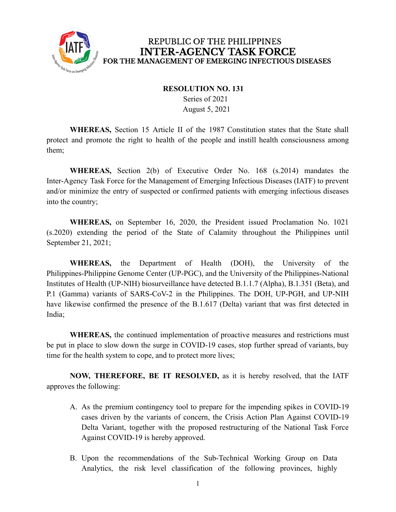

## **RESOLUTION NO. 131**

Series of 2021 August 5, 2021

**WHEREAS,** Section 15 Article II of the 1987 Constitution states that the State shall protect and promote the right to health of the people and instill health consciousness among them;

**WHEREAS,** Section 2(b) of Executive Order No. 168 (s.2014) mandates the Inter-Agency Task Force for the Management of Emerging Infectious Diseases (IATF) to prevent and/or minimize the entry of suspected or confirmed patients with emerging infectious diseases into the country;

**WHEREAS,** on September 16, 2020, the President issued Proclamation No. 1021 (s.2020) extending the period of the State of Calamity throughout the Philippines until September 21, 2021;

**WHEREAS,** the Department of Health (DOH), the University of the Philippines-Philippine Genome Center (UP-PGC), and the University of the Philippines-National Institutes of Health (UP-NIH) biosurveillance have detected B.1.1.7 (Alpha), B.1.351 (Beta), and P.1 (Gamma) variants of SARS-CoV-2 in the Philippines. The DOH, UP-PGH, and UP-NIH have likewise confirmed the presence of the B.1.617 (Delta) variant that was first detected in India;

**WHEREAS,** the continued implementation of proactive measures and restrictions must be put in place to slow down the surge in COVID-19 cases, stop further spread of variants, buy time for the health system to cope, and to protect more lives;

**NOW, THEREFORE, BE IT RESOLVED,** as it is hereby resolved, that the IATF approves the following:

- A. As the premium contingency tool to prepare for the impending spikes in COVID-19 cases driven by the variants of concern, the Crisis Action Plan Against COVID-19 Delta Variant, together with the proposed restructuring of the National Task Force Against COVID-19 is hereby approved.
- B. Upon the recommendations of the Sub-Technical Working Group on Data Analytics, the risk level classification of the following provinces, highly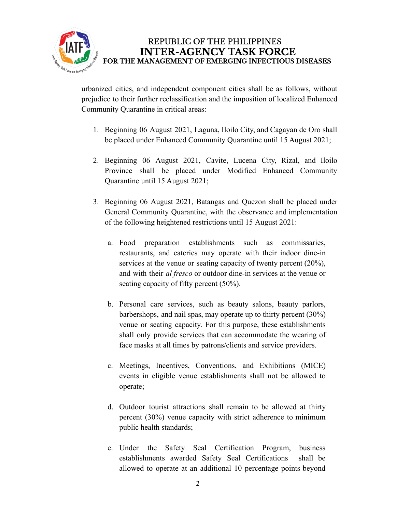

urbanized cities, and independent component cities shall be as follows, without prejudice to their further reclassification and the imposition of localized Enhanced Community Quarantine in critical areas:

- 1. Beginning 06 August 2021, Laguna, Iloilo City, and Cagayan de Oro shall be placed under Enhanced Community Quarantine until 15 August 2021;
- 2. Beginning 06 August 2021, Cavite, Lucena City, Rizal, and Iloilo Province shall be placed under Modified Enhanced Community Quarantine until 15 August 2021;
- 3. Beginning 06 August 2021, Batangas and Quezon shall be placed under General Community Quarantine, with the observance and implementation of the following heightened restrictions until 15 August 2021:
	- a. Food preparation establishments such as commissaries, restaurants, and eateries may operate with their indoor dine-in services at the venue or seating capacity of twenty percent (20%), and with their *al fresco* or outdoor dine-in services at the venue or seating capacity of fifty percent (50%).
	- b. Personal care services, such as beauty salons, beauty parlors, barbershops, and nail spas, may operate up to thirty percent (30%) venue or seating capacity. For this purpose, these establishments shall only provide services that can accommodate the wearing of face masks at all times by patrons/clients and service providers.
	- c. Meetings, Incentives, Conventions, and Exhibitions (MICE) events in eligible venue establishments shall not be allowed to operate;
	- d. Outdoor tourist attractions shall remain to be allowed at thirty percent (30%) venue capacity with strict adherence to minimum public health standards;
	- e. Under the Safety Seal Certification Program, business establishments awarded Safety Seal Certifications shall be allowed to operate at an additional 10 percentage points beyond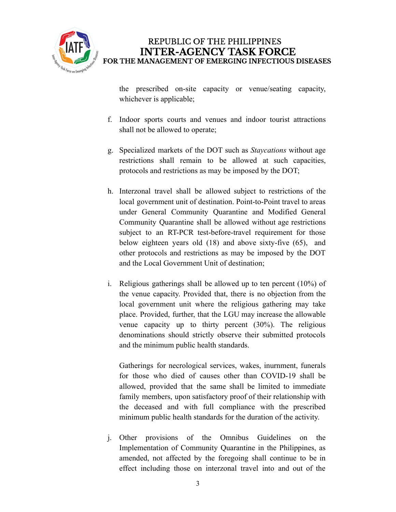

the prescribed on-site capacity or venue/seating capacity, whichever is applicable;

- f. Indoor sports courts and venues and indoor tourist attractions shall not be allowed to operate;
- g. Specialized markets of the DOT such as *Staycations* without age restrictions shall remain to be allowed at such capacities, protocols and restrictions as may be imposed by the DOT;
- h. Interzonal travel shall be allowed subject to restrictions of the local government unit of destination. Point-to-Point travel to areas under General Community Quarantine and Modified General Community Quarantine shall be allowed without age restrictions subject to an RT-PCR test-before-travel requirement for those below eighteen years old (18) and above sixty-five (65), and other protocols and restrictions as may be imposed by the DOT and the Local Government Unit of destination;
- i. Religious gatherings shall be allowed up to ten percent (10%) of the venue capacity. Provided that, there is no objection from the local government unit where the religious gathering may take place. Provided, further, that the LGU may increase the allowable venue capacity up to thirty percent (30%). The religious denominations should strictly observe their submitted protocols and the minimum public health standards.

Gatherings for necrological services, wakes, inurnment, funerals for those who died of causes other than COVID-19 shall be allowed, provided that the same shall be limited to immediate family members, upon satisfactory proof of their relationship with the deceased and with full compliance with the prescribed minimum public health standards for the duration of the activity.

j. Other provisions of the Omnibus Guidelines on the Implementation of Community Quarantine in the Philippines, as amended, not affected by the foregoing shall continue to be in effect including those on interzonal travel into and out of the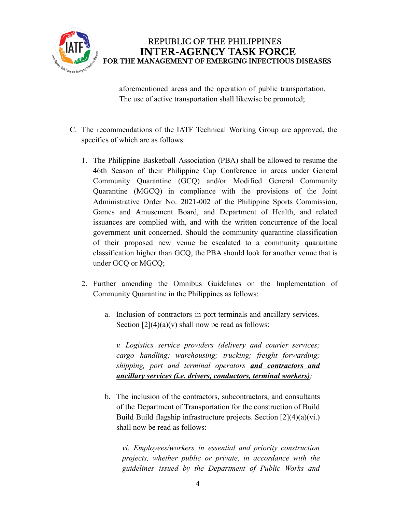

aforementioned areas and the operation of public transportation. The use of active transportation shall likewise be promoted;

- C. The recommendations of the IATF Technical Working Group are approved, the specifics of which are as follows:
	- 1. The Philippine Basketball Association (PBA) shall be allowed to resume the 46th Season of their Philippine Cup Conference in areas under General Community Quarantine (GCQ) and/or Modified General Community Quarantine (MGCQ) in compliance with the provisions of the Joint Administrative Order No. 2021-002 of the Philippine Sports Commission, Games and Amusement Board, and Department of Health, and related issuances are complied with, and with the written concurrence of the local government unit concerned. Should the community quarantine classification of their proposed new venue be escalated to a community quarantine classification higher than GCQ, the PBA should look for another venue that is under GCQ or MGCQ;
	- 2. Further amending the Omnibus Guidelines on the Implementation of Community Quarantine in the Philippines as follows:
		- a. Inclusion of contractors in port terminals and ancillary services. Section  $[2](4)(a)(v)$  shall now be read as follows:

*v. Logistics service providers (delivery and courier services; cargo handling; warehousing; trucking; freight forwarding; shipping, port and terminal operators and contractors and ancillary services (i.e. drivers, conductors, terminal workers);*

b. The inclusion of the contractors, subcontractors, and consultants of the Department of Transportation for the construction of Build Build Build flagship infrastructure projects. Section [2](4)(a)(vi.) shall now be read as follows:

*vi. Employees/workers in essential and priority construction projects, whether public or private, in accordance with the guidelines issued by the Department of Public Works and*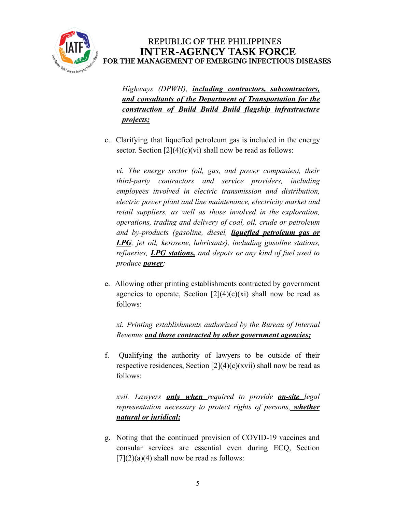

*Highways (DPWH), including contractors, subcontractors, and consultants of the Department of Transportation for the construction of Build Build Build flagship infrastructure projects;*

c. Clarifying that liquefied petroleum gas is included in the energy sector. Section  $[2](4)(c)(vi)$  shall now be read as follows:

*vi. The energy sector (oil, gas, and power companies), their third-party contractors and service providers, including employees involved in electric transmission and distribution, electric power plant and line maintenance, electricity market and retail suppliers, as well as those involved in the exploration, operations, trading and delivery of coal, oil, crude or petroleum and by-products (gasoline, diesel, liquefied petroleum gas or LPG, jet oil, kerosene, lubricants), including gasoline stations, refineries, LPG stations, and depots or any kind of fuel used to produce power;*

e. Allowing other printing establishments contracted by government agencies to operate, Section  $[2](4)(c)(xi)$  shall now be read as follows:

*xi. Printing establishments authorized by the Bureau of Internal Revenue and those contracted by other government agencies;*

f. Qualifying the authority of lawyers to be outside of their respective residences, Section  $[2](4)(c)(xvi)$  shall now be read as follows:

*xvii. Lawyers only when required to provide on-site legal representation necessary to protect rights of persons, whether natural or juridical;*

g. Noting that the continued provision of COVID-19 vaccines and consular services are essential even during ECQ, Section  $[7](2)(a)(4)$  shall now be read as follows: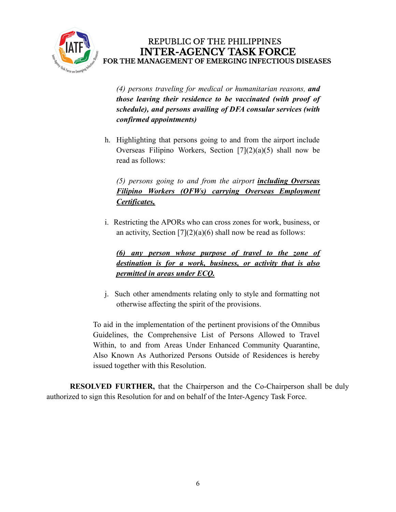

*(4) persons traveling for medical or humanitarian reasons, and those leaving their residence to be vaccinated (with proof of schedule), and persons availing of DFA consular services (with confirmed appointments)*

h. Highlighting that persons going to and from the airport include Overseas Filipino Workers, Section  $[7](2)(a)(5)$  shall now be read as follows:

*(5) persons going to and from the airport including Overseas Filipino Workers (OFWs) carrying Overseas Employment Certificates,*

i. Restricting the APORs who can cross zones for work, business, or an activity, Section  $[7](2)(a)(6)$  shall now be read as follows:

*(6) any person whose purpose of travel to the zone of destination is for a work, business, or activity that is also permitted in areas under ECQ.*

j. Such other amendments relating only to style and formatting not otherwise affecting the spirit of the provisions.

To aid in the implementation of the pertinent provisions of the Omnibus Guidelines, the Comprehensive List of Persons Allowed to Travel Within, to and from Areas Under Enhanced Community Quarantine, Also Known As Authorized Persons Outside of Residences is hereby issued together with this Resolution.

**RESOLVED FURTHER,** that the Chairperson and the Co-Chairperson shall be duly authorized to sign this Resolution for and on behalf of the Inter-Agency Task Force.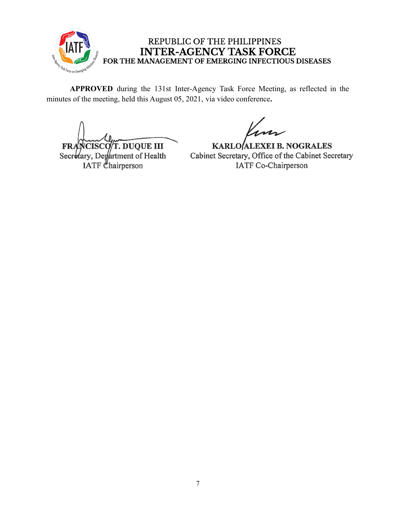

**APPROVED** during the 131st Inter-Agency Task Force Meeting, as reflected in the minutes of the meeting, held this August 05, 2021, via video conference**.**

**CISCO T. DUQUE III** 

FR/ Secretary, Department of Health IATF Chairperson

KARLO ALEXEI B. NOGRALES Cabinet Secretary, Office of the Cabinet Secretary IATF Co-Chairperson